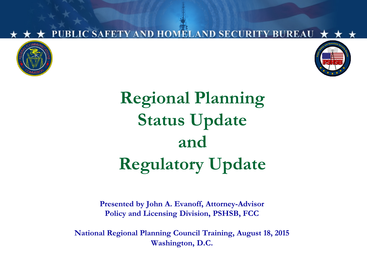

**TY BUREAU** 

## **Regional Planning Status Update and Regulatory Update**

UBLIC SAFETY AND HOMELAND SECURI

**Presented by John A. Evanoff, Attorney-Advisor Policy and Licensing Division, PSHSB, FCC**

**National Regional Planning Council Training, August 18, 2015 Washington, D.C.**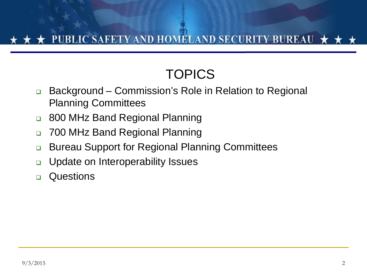#### ★ PUBLIC SAFETY AND HOMELAND SECURITY BUREAU ★ ★

## **TOPICS**

- □ Background Commission's Role in Relation to Regional Planning Committees
- □ 800 MHz Band Regional Planning
- **D** 700 MHz Band Regional Planning
- □ Bureau Support for Regional Planning Committees
- □ Update on Interoperability Issues
- **Questions**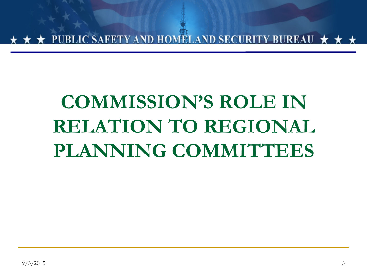PUBLIC SAFETY AND HOMELAND SECURITY BUREAU  $\star$ 

## **COMMISSION'S ROLE IN RELATION TO REGIONAL PLANNING COMMITTEES**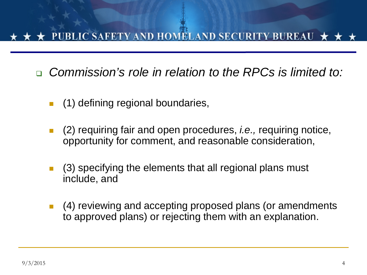#### PUBLIC SAFETY AND HOMELAND SECURITY BUREAU

*Commission's role in relation to the RPCs is limited to:*

- (1) defining regional boundaries,
- (2) requiring fair and open procedures, *i.e.,* requiring notice, opportunity for comment, and reasonable consideration,
- (3) specifying the elements that all regional plans must include, and
- (4) reviewing and accepting proposed plans (or amendments to approved plans) or rejecting them with an explanation.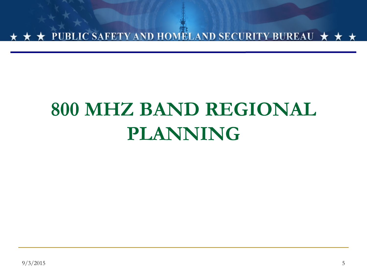

## **800 MHZ BAND REGIONAL PLANNING**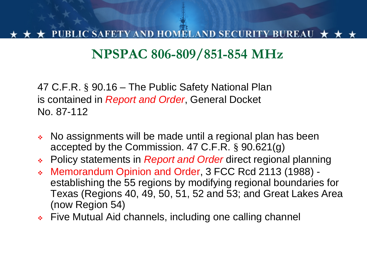### **NPSPAC 806-809/851-854 MHz**

47 C.F.R. § 90.16 – The Public Safety National Plan is contained in *Report and Order*, General Docket No. 87-112

- No assignments will be made until a regional plan has been accepted by the Commission. 47 C.F.R. § 90.621(g)
- Policy statements in *Report and Order* direct regional planning
- Memorandum Opinion and Order, 3 FCC Rcd 2113 (1988) establishing the 55 regions by modifying regional boundaries for Texas (Regions 40, 49, 50, 51, 52 and 53; and Great Lakes Area (now Region 54)
- **Five Mutual Aid channels, including one calling channel**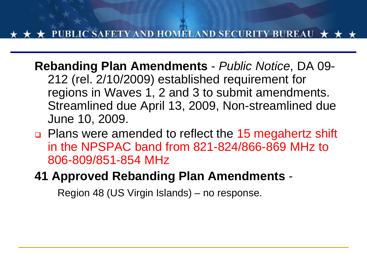**Rebanding Plan Amendments** - *Public Notice*, DA 09- 212 (rel. 2/10/2009) established requirement for regions in Waves 1, 2 and 3 to submit amendments. Streamlined due April 13, 2009, Non-streamlined due June 10, 2009.

 Plans were amended to reflect the 15 megahertz shift in the NPSPAC band from 821-824/866-869 MHz to 806-809/851-854 MHz

#### **41 Approved Rebanding Plan Amendments** -

Region 48 (US Virgin Islands) – no response.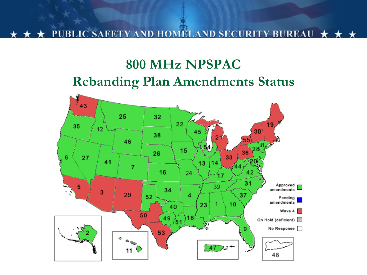UBLIC SAFETY AND HOMELAND SECURITY BUREAU  $\star \star \star$ 

### **800 MHz NPSPAC Rebanding Plan Amendments Status**

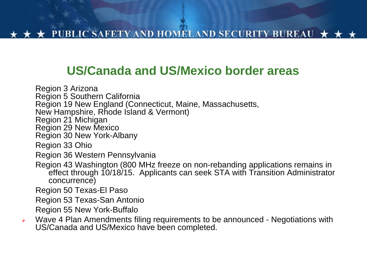#### **US/Canada and US/Mexico border areas**

Region 3 Arizona Region 5 Southern California Region 19 New England (Connecticut, Maine, Massachusetts, New Hampshire, Rhode Island & Vermont) Region 21 Michigan Region 29 New Mexico Region 30 New York-Albany Region 33 Ohio Region 36 Western Pennsylvania Region 43 Washington (800 MHz freeze on non-rebanding applications remains in effect through 10/18/15. Applicants can seek STA with Transition Administrator concurrence) Region 50 Texas-El Paso Region 53 Texas-San Antonio Region 55 New York-Buffalo

 $\triangleright$  Wave 4 Plan Amendments filing requirements to be announced - Negotiations with US/Canada and US/Mexico have been completed.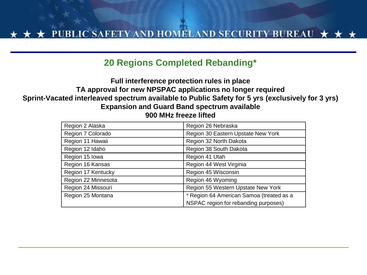#### **20 Regions Completed Rebanding\***

#### **Full interference protection rules in place TA approval for new NPSPAC applications no longer required Sprint-Vacated interleaved spectrum available to Public Safety for 5 yrs (exclusively for 3 yrs) Expansion and Guard Band spectrum available 900 MHz freeze lifted**

| Region 2 Alaska     | Region 26 Nebraska                       |
|---------------------|------------------------------------------|
| Region 7 Colorado   | Region 30 Eastern Upstate New York       |
| Region 11 Hawaii    | Region 32 North Dakota                   |
| Region 12 Idaho     | Region 38 South Dakota                   |
| Region 15 Iowa      | Region 41 Utah                           |
| Region 16 Kansas    | Region 44 West Virginia                  |
| Region 17 Kentucky  | Region 45 Wisconsin                      |
| Region 22 Minnesota | Region 46 Wyoming                        |
| Region 24 Missouri  | Region 55 Western Upstate New York       |
| Region 25 Montana   | * Region 64 American Samoa (treated as a |
|                     | NSPAC region for rebanding purposes)     |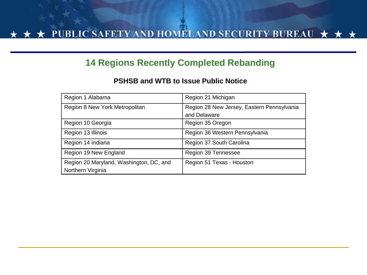#### **14 Regions Recently Completed Rebanding**

#### **PSHSB and WTB to Issue Public Notice**

| Region 1 Alabama                                             | Region 21 Michigan                                         |
|--------------------------------------------------------------|------------------------------------------------------------|
| Region 8 New York Metropolitan                               | Region 28 New Jersey, Eastern Pennsylvania<br>and Delaware |
| Region 10 Georgia                                            | Region 35 Oregon                                           |
| Region 13 Illinois                                           | Region 36 Western Pennsylvania                             |
| Region 14 Indiana                                            | Region 37 South Carolina                                   |
| Region 19 New England                                        | Region 39 Tennessee                                        |
| Region 20 Maryland, Washington, DC, and<br>Northern Virginia | Region 51 Texas - Houston                                  |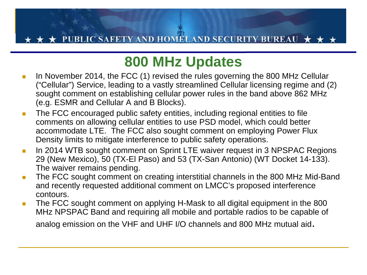#### C SAFETY AND HOMELAND SECURITY BUREAU

## **800 MHz Updates**

- In November 2014, the FCC (1) revised the rules governing the 800 MHz Cellular ("Cellular") Service, leading to a vastly streamlined Cellular licensing regime and (2) sought comment on establishing cellular power rules in the band above 862 MHz (e.g. ESMR and Cellular A and B Blocks).
- **The FCC encouraged public safety entities, including regional entities to file** comments on allowing cellular entities to use PSD model, which could better accommodate LTE. The FCC also sought comment on employing Power Flux Density limits to mitigate interference to public safety operations.
- In 2014 WTB sought comment on Sprint LTE waiver request in 3 NPSPAC Regions 29 (New Mexico), 50 (TX-El Paso) and 53 (TX-San Antonio) (WT Docket 14-133). The waiver remains pending.
- **The FCC sought comment on creating interstitial channels in the 800 MHz Mid-Band** and recently requested additional comment on LMCC's proposed interference contours.
- **The FCC sought comment on applying H-Mask to all digital equipment in the 800** MHz NPSPAC Band and requiring all mobile and portable radios to be capable of analog emission on the VHF and UHF I/O channels and 800 MHz mutual aid.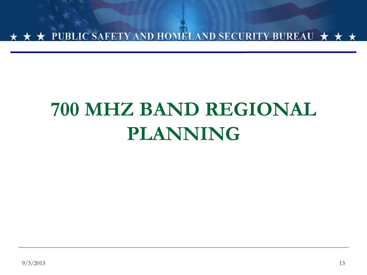

## **700 MHZ BAND REGIONAL PLANNING**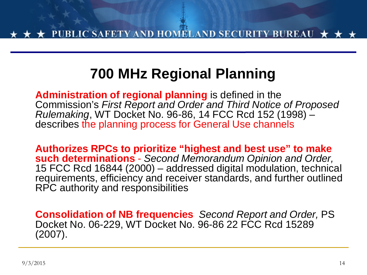## **700 MHz Regional Planning**

**Administration of regional planning** is defined in the Commission's *First Report and Order and Third Notice of Proposed Rulemaking*, WT Docket No. 96-86, 14 FCC Rcd 152 (1998) –<br>describes the planning process for General Use channels

**Authorizes RPCs to prioritize "highest and best use" to make such determinations** - *Second Memorandum Opinion and Order,* 15 FCC Rcd 16844 (2000) – addressed digital modulation, technical requirements, efficiency and receiver standards, and further outlined RPC authority and responsibilities

**Consolidation of NB frequencies** *Second Report and Order,* PS Docket No. 06-229, WT Docket No. 96-86 22 FCC Rcd 15289 (2007).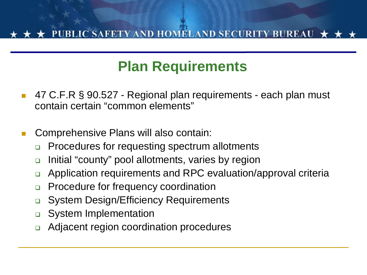### **Plan Requirements**

- 47 C.F.R § 90.527 Regional plan requirements each plan must contain certain "common elements"
- Comprehensive Plans will also contain:
	- □ Procedures for requesting spectrum allotments
	- □ Initial "county" pool allotments, varies by region
	- Application requirements and RPC evaluation/approval criteria
	- **Procedure for frequency coordination**
	- □ System Design/Efficiency Requirements
	- **D** System Implementation
	- □ Adjacent region coordination procedures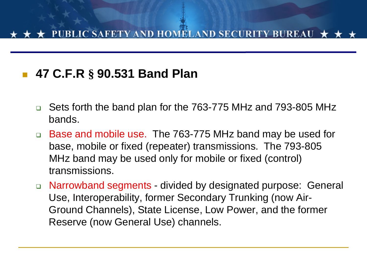#### **47 C.F.R § 90.531 Band Plan**

- Sets forth the band plan for the 763-775 MHz and 793-805 MHz bands.
- □ Base and mobile use. The 763-775 MHz band may be used for base, mobile or fixed (repeater) transmissions. The 793-805 MHz band may be used only for mobile or fixed (control) transmissions.
- Narrowband segments divided by designated purpose: General Use, Interoperability, former Secondary Trunking (now Air-Ground Channels), State License, Low Power, and the former Reserve (now General Use) channels.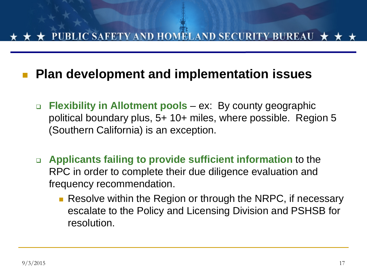#### **★ PUBLIC SAFETY AND HOMELAND SECURITY BUREAU ★ ★**

#### **Plan development and implementation issues**

- **Flexibility in Allotment pools** ex: By county geographic political boundary plus, 5+ 10+ miles, where possible. Region 5 (Southern California) is an exception.
- **Applicants failing to provide sufficient information** to the RPC in order to complete their due diligence evaluation and frequency recommendation.
	- **Resolve within the Region or through the NRPC, if necessary** escalate to the Policy and Licensing Division and PSHSB for resolution.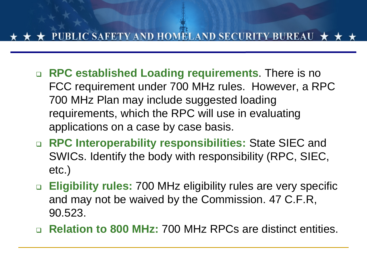- **RPC established Loading requirements**. There is no FCC requirement under 700 MHz rules. However, a RPC 700 MHz Plan may include suggested loading requirements, which the RPC will use in evaluating applications on a case by case basis.
- **RPC Interoperability responsibilities:** State SIEC and SWICs. Identify the body with responsibility (RPC, SIEC, etc.)
- **Eligibility rules:** 700 MHz eligibility rules are very specific and may not be waived by the Commission. 47 C.F.R, 90.523.
- **Relation to 800 MHz:** 700 MHz RPCs are distinct entities.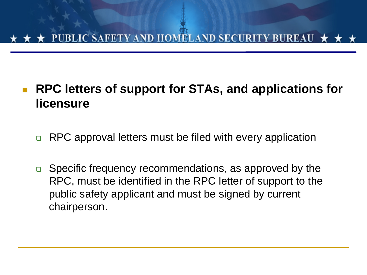# JBLIC SAFETY AND HOMELAND SECURITY BUREAU  $\,\star\,$

#### **RPC letters of support for STAs, and applications for licensure**

- □ RPC approval letters must be filed with every application
- □ Specific frequency recommendations, as approved by the RPC, must be identified in the RPC letter of support to the public safety applicant and must be signed by current chairperson.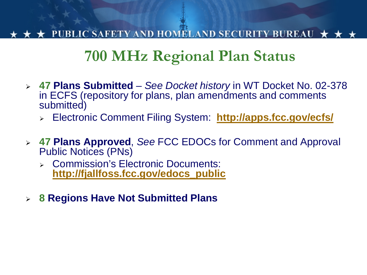#### PUBLIC SAFETY AND HOMELAND SECURITY BUREAU  $\,\bigstar\,$

## **700 MHz Regional Plan Status**

- **47 Plans Submitted** *See Docket history* in WT Docket No. 02-378 in ECFS (repository for plans, plan amendments and comments submitted)
	- Electronic Comment Filing System: **<http://apps.fcc.gov/ecfs/>**
- **47 Plans Approved**, *See* FCC EDOCs for Comment and Approval Public Notices (PNs)
	- Commission's Electronic Documents: **[http://fjallfoss.fcc.gov/edocs\\_public](http://fjallfoss.fcc.gov/edocs_public)**
- **8 Regions Have Not Submitted Plans**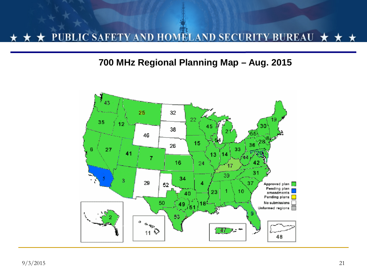#### BLIC SAFETY AND HOMELAND SECURITY BUREAU р

#### **700 MHz Regional Planning Map – Aug. 2015**

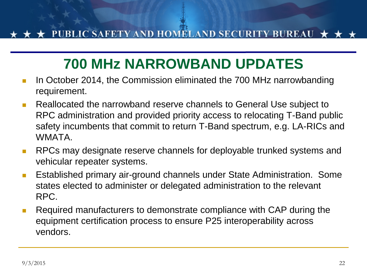## **700 MHz NARROWBAND UPDATES**

- **IF** In October 2014, the Commission eliminated the 700 MHz narrowbanding requirement.
- **Reallocated the narrowband reserve channels to General Use subject to** RPC administration and provided priority access to relocating T-Band public safety incumbents that commit to return T-Band spectrum, e.g. LA-RICs and **WMATA**
- **RPCs may designate reserve channels for deployable trunked systems and** vehicular repeater systems.
- **E** Established primary air-ground channels under State Administration. Some states elected to administer or delegated administration to the relevant RPC.
- **Required manufacturers to demonstrate compliance with CAP during the** equipment certification process to ensure P25 interoperability across vendors.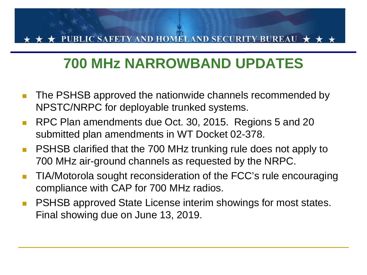#### **C SAFETY AND HOMELAND SECURITY BUREAU**

### **700 MHz NARROWBAND UPDATES**

- The PSHSB approved the nationwide channels recommended by NPSTC/NRPC for deployable trunked systems.
- RPC Plan amendments due Oct. 30, 2015. Regions 5 and 20 submitted plan amendments in WT Docket 02-378.
- **PSHSB clarified that the 700 MHz trunking rule does not apply to** 700 MHz air-ground channels as requested by the NRPC.
- TIA/Motorola sought reconsideration of the FCC's rule encouraging compliance with CAP for 700 MHz radios.
- **PSHSB approved State License interim showings for most states.** Final showing due on June 13, 2019.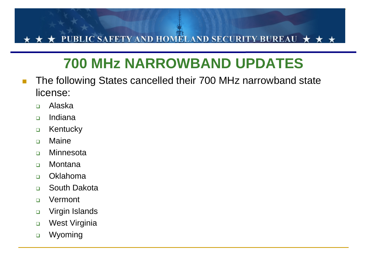#### PUBLIC SAFETY AND HOMELAND SECURITY BUREAU  $\star$

## **700 MHz NARROWBAND UPDATES**

- **The following States cancelled their 700 MHz narrowband state** license:
	- Alaska
	- Indiana
	- **D** Kentucky
	- **D** Maine
	- **D** Minnesota
	- □ Montana
	- Oklahoma
	- □ South Dakota
	- Vermont
	- □ Virgin Islands
	- **D** West Virginia
	- □ Wyoming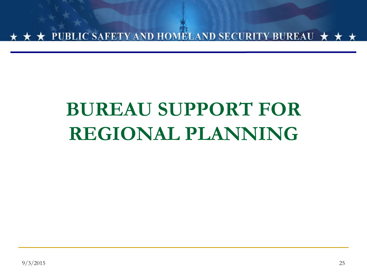

## **BUREAU SUPPORT FOR REGIONAL PLANNING**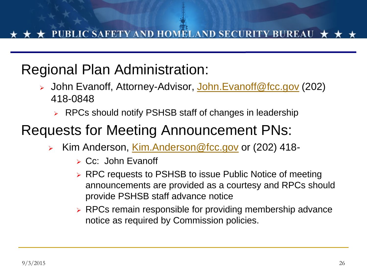## Regional Plan Administration:

- John Evanoff, Attorney-Advisor, [John.Evanoff@fcc.gov](mailto:John.Evanoff@fcc.gov) (202) 418-0848
	- ► RPCs should notify PSHSB staff of changes in leadership

### Requests for Meeting Announcement PNs:

- Kim Anderson, [Kim.Anderson@fcc.gov](mailto:Kim.Anderson@fcc.gov) or (202) 418-
	- $\triangleright$  Cc: John Evanoff
	- ▶ RPC requests to PSHSB to issue Public Notice of meeting announcements are provided as a courtesy and RPCs should provide PSHSB staff advance notice
	- ► RPCs remain responsible for providing membership advance notice as required by Commission policies.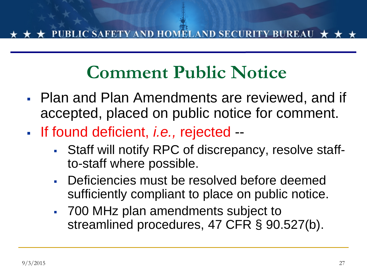## **Comment Public Notice**

- Plan and Plan Amendments are reviewed, and if accepted, placed on public notice for comment.
- If found deficient, *i.e.,* rejected --
	- Staff will notify RPC of discrepancy, resolve staffto-staff where possible.
	- Deficiencies must be resolved before deemed sufficiently compliant to place on public notice.
	- 700 MHz plan amendments subject to streamlined procedures, 47 CFR § 90.527(b).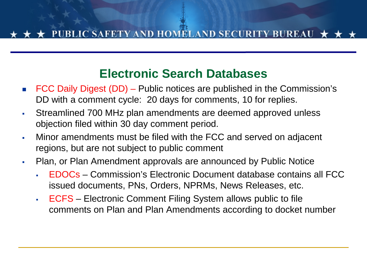#### **Electronic Search Databases**

- FCC Daily Digest (DD) Public notices are published in the Commission's DD with a comment cycle: 20 days for comments, 10 for replies.
- Streamlined 700 MHz plan amendments are deemed approved unless objection filed within 30 day comment period.
- Minor amendments must be filed with the FCC and served on adjacent regions, but are not subject to public comment
- Plan, or Plan Amendment approvals are announced by Public Notice
	- EDOCs Commission's Electronic Document database contains all FCC issued documents, PNs, Orders, NPRMs, News Releases, etc.
	- ECFS Electronic Comment Filing System allows public to file comments on Plan and Plan Amendments according to docket number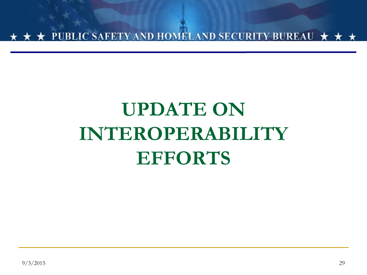

## **UPDATE ON INTEROPERABILITY EFFORTS**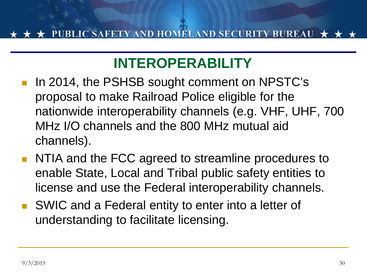## **INTEROPERABILITY**

- In 2014, the PSHSB sought comment on NPSTC's proposal to make Railroad Police eligible for the nationwide interoperability channels (e.g. VHF, UHF, 700 MHz I/O channels and the 800 MHz mutual aid channels).
- **NTIA and the FCC agreed to streamline procedures to** enable State, Local and Tribal public safety entities to license and use the Federal interoperability channels.
- SWIC and a Federal entity to enter into a letter of understanding to facilitate licensing.